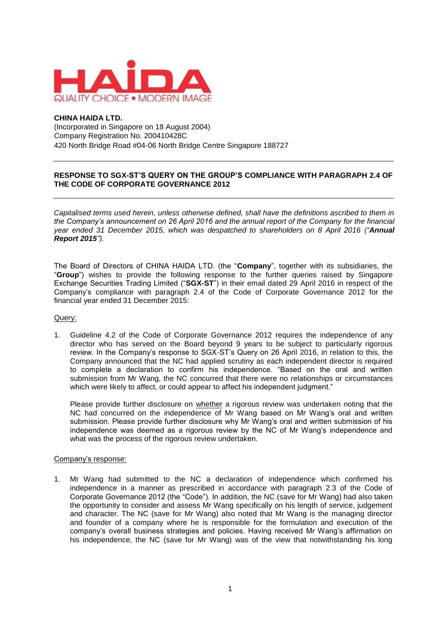

## **CHINA HAIDA LTD.**

(Incorporated in Singapore on 18 August 2004) Company Registration No. 200410428C 420 North Bridge Road #04-06 North Bridge Centre Singapore 188727

## **RESPONSE TO SGX-ST'S QUERY ON THE GROUP'S COMPLIANCE WITH PARAGRAPH 2.4 OF THE CODE OF CORPORATE GOVERNANCE 2012**

*Capitalised terms used herein, unless otherwise defined, shall have the definitions ascribed to them in the Company's announcement on 26 April 2016 and the annual report of the Company for the financial year ended 31 December 2015, which was despatched to shareholders on 8 April 2016 ("Annual Report 2015").*

The Board of Directors of CHINA HAIDA LTD. (the "**Company**", together with its subsidiaries, the "**Group**") wishes to provide the following response to the further queries raised by Singapore Exchange Securities Trading Limited ("**SGX-ST**") in their email dated 29 April 2016 in respect of the Company's compliance with paragraph 2.4 of the Code of Corporate Governance 2012 for the financial year ended 31 December 2015:

## Query:

1. Guideline 4.2 of the Code of Corporate Governance 2012 requires the independence of any director who has served on the Board beyond 9 years to be subject to particularly rigorous review. In the Company's response to SGX-ST's Query on 26 April 2016, in relation to this, the Company announced that the NC had applied scrutiny as each independent director is required to complete a declaration to confirm his independence. "Based on the oral and written submission from Mr Wang, the NC concurred that there were no relationships or circumstances which were likely to affect, or could appear to affect his independent judgment."

Please provide further disclosure on whether a rigorous review was undertaken noting that the NC had concurred on the independence of Mr Wang based on Mr Wang's oral and written submission. Please provide further disclosure why Mr Wang's oral and written submission of his independence was deemed as a rigorous review by the NC of Mr Wang's independence and what was the process of the rigorous review undertaken.

## Company's response:

1. Mr Wang had submitted to the NC a declaration of independence which confirmed his independence in a manner as prescribed in accordance with paragraph 2.3 of the Code of Corporate Governance 2012 (the "Code"). In addition, the NC (save for Mr Wang) had also taken the opportunity to consider and assess Mr Wang specifically on his length of service, judgement and character. The NC (save for Mr Wang) also noted that Mr Wang is the managing director and founder of a company where he is responsible for the formulation and execution of the company's overall business strategies and policies. Having received Mr Wang's affirmation on his independence, the NC (save for Mr Wang) was of the view that notwithstanding his long